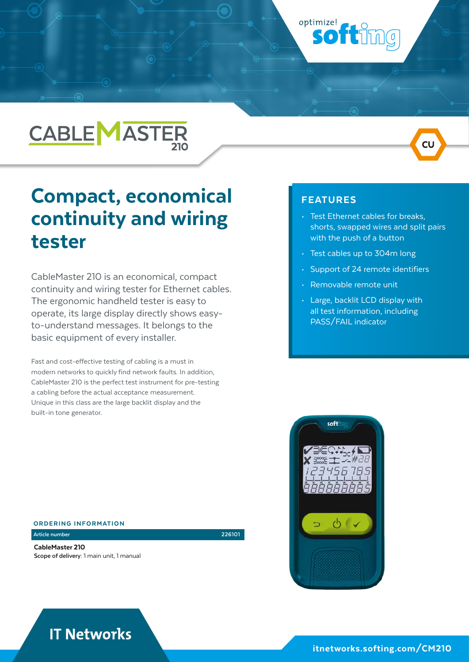# **CABLE MASTER**

## Compact, economical continuity and wiring tester

CableMaster 210 is an economical, compact continuity and wiring tester for Ethernet cables. The ergonomic handheld tester is easy to operate, its large display directly shows easyto-understand messages. It belongs to the basic equipment of every installer.

Fast and cost-effective testing of cabling is a must in modern networks to quickly find network faults. In addition, CableMaster 210 is the perfect test instrument for pre-testing a cabling before the actual acceptance measurement. Unique in this class are the large backlit display and the built-in tone generator.

### ORDERING INFORMATION

CableMaster 210 **Scope of delivery:** 1 main unit, 1 manual

**Article number 226101**



optimize!

• Test Ethernet cables for breaks, shorts, swapped wires and split pairs with the push of a button

 $CL$ 

• Test cables up to 304m long

ottimg

- Support of 24 remote identifiers
- Removable remote unit
- Large, backlit LCD display with all test information, including PASS/FAIL indicator



### **IT Networks**